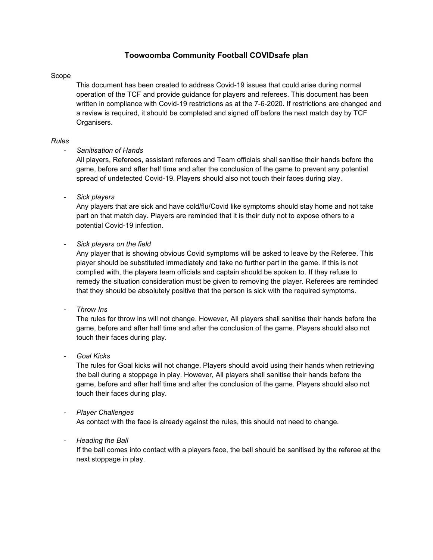# **Toowoomba Community Football COVIDsafe plan**

#### Scope

This document has been created to address Covid-19 issues that could arise during normal operation of the TCF and provide guidance for players and referees. This document has been written in compliance with Covid-19 restrictions as at the 7-6-2020. If restrictions are changed and a review is required, it should be completed and signed off before the next match day by TCF Organisers.

#### *Rules*

## - *Sanitisation of Hands*

All players, Referees, assistant referees and Team officials shall sanitise their hands before the game, before and after half time and after the conclusion of the game to prevent any potential spread of undetected Covid-19. Players should also not touch their faces during play.

- *Sick players*

Any players that are sick and have cold/flu/Covid like symptoms should stay home and not take part on that match day. Players are reminded that it is their duty not to expose others to a potential Covid-19 infection.

- *Sick players on the field*

Any player that is showing obvious Covid symptoms will be asked to leave by the Referee. This player should be substituted immediately and take no further part in the game. If this is not complied with, the players team officials and captain should be spoken to. If they refuse to remedy the situation consideration must be given to removing the player. Referees are reminded that they should be absolutely positive that the person is sick with the required symptoms.

- *Throw Ins*

The rules for throw ins will not change. However, All players shall sanitise their hands before the game, before and after half time and after the conclusion of the game. Players should also not touch their faces during play.

- *Goal Kicks*

The rules for Goal kicks will not change. Players should avoid using their hands when retrieving the ball during a stoppage in play. However, All players shall sanitise their hands before the game, before and after half time and after the conclusion of the game. Players should also not touch their faces during play.

- *Player Challenges*

As contact with the face is already against the rules, this should not need to change.

#### - *Heading the Ball*

If the ball comes into contact with a players face, the ball should be sanitised by the referee at the next stoppage in play.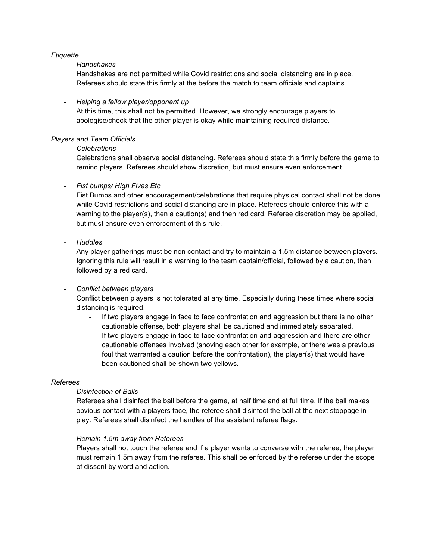## *Etiquette*

## - *Handshakes*

Handshakes are not permitted while Covid restrictions and social distancing are in place. Referees should state this firmly at the before the match to team officials and captains.

## - *Helping a fellow player/opponent up*

At this time, this shall not be permitted. However, we strongly encourage players to apologise/check that the other player is okay while maintaining required distance.

## *Players and Team Officials*

- *Celebrations*

Celebrations shall observe social distancing. Referees should state this firmly before the game to remind players. Referees should show discretion, but must ensure even enforcement.

## **Fist bumps/ High Fives Etc**

Fist Bumps and other encouragement/celebrations that require physical contact shall not be done while Covid restrictions and social distancing are in place. Referees should enforce this with a warning to the player(s), then a caution(s) and then red card. Referee discretion may be applied, but must ensure even enforcement of this rule.

## - *Huddles*

Any player gatherings must be non contact and try to maintain a 1.5m distance between players. Ignoring this rule will result in a warning to the team captain/official, followed by a caution, then followed by a red card.

## - *Conflict between players*

Conflict between players is not tolerated at any time. Especially during these times where social distancing is required.

- If two players engage in face to face confrontation and aggression but there is no other cautionable offense, both players shall be cautioned and immediately separated.
- If two players engage in face to face confrontation and aggression and there are other cautionable offenses involved (shoving each other for example, or there was a previous foul that warranted a caution before the confrontation), the player(s) that would have been cautioned shall be shown two yellows.

#### *Referees*

- *Disinfection of Balls*

Referees shall disinfect the ball before the game, at half time and at full time. If the ball makes obvious contact with a players face, the referee shall disinfect the ball at the next stoppage in play. Referees shall disinfect the handles of the assistant referee flags.

## - *Remain 1.5m away from Referees*

Players shall not touch the referee and if a player wants to converse with the referee, the player must remain 1.5m away from the referee. This shall be enforced by the referee under the scope of dissent by word and action.